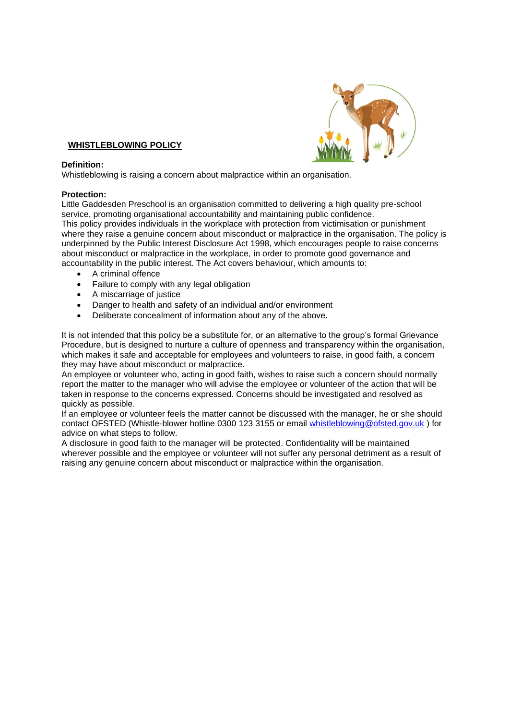

### **WHISTLEBLOWING POLICY**

#### **Definition:**

Whistleblowing is raising a concern about malpractice within an organisation.

#### **Protection:**

Little Gaddesden Preschool is an organisation committed to delivering a high quality pre-school service, promoting organisational accountability and maintaining public confidence. This policy provides individuals in the workplace with protection from victimisation or punishment where they raise a genuine concern about misconduct or malpractice in the organisation. The policy is underpinned by the Public Interest Disclosure Act 1998, which encourages people to raise concerns about misconduct or malpractice in the workplace, in order to promote good governance and accountability in the public interest. The Act covers behaviour, which amounts to:

- A criminal offence
- Failure to comply with any legal obligation
- A miscarriage of justice
- Danger to health and safety of an individual and/or environment
- Deliberate concealment of information about any of the above.

It is not intended that this policy be a substitute for, or an alternative to the group's formal Grievance Procedure, but is designed to nurture a culture of openness and transparency within the organisation, which makes it safe and acceptable for employees and volunteers to raise, in good faith, a concern they may have about misconduct or malpractice.

An employee or volunteer who, acting in good faith, wishes to raise such a concern should normally report the matter to the manager who will advise the employee or volunteer of the action that will be taken in response to the concerns expressed. Concerns should be investigated and resolved as quickly as possible.

If an employee or volunteer feels the matter cannot be discussed with the manager, he or she should contact OFSTED (Whistle-blower hotline 0300 123 3155 or email [whistleblowing@ofsted.gov.uk](mailto:whistleblowing@ofsted.gov.uk) ) for advice on what steps to follow.

A disclosure in good faith to the manager will be protected. Confidentiality will be maintained wherever possible and the employee or volunteer will not suffer any personal detriment as a result of raising any genuine concern about misconduct or malpractice within the organisation.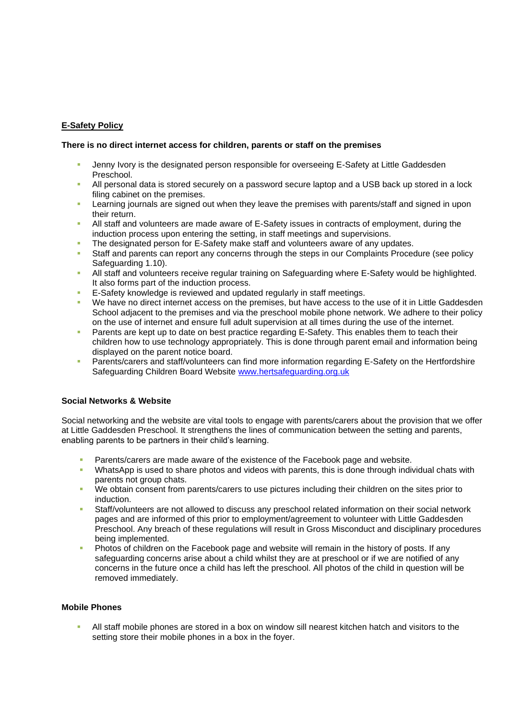### **E-Safety Policy**

#### **There is no direct internet access for children, parents or staff on the premises**

- **•** Jenny Ivory is the designated person responsible for overseeing E-Safety at Little Gaddesden Preschool.
- All personal data is stored securely on a password secure laptop and a USB back up stored in a lock filing cabinet on the premises.
- Learning journals are signed out when they leave the premises with parents/staff and signed in upon their return.
- All staff and volunteers are made aware of E-Safety issues in contracts of employment, during the induction process upon entering the setting, in staff meetings and supervisions.
- The designated person for E-Safety make staff and volunteers aware of any updates.
- Staff and parents can report any concerns through the steps in our Complaints Procedure (see policy Safeguarding 1.10).
- **All staff and volunteers receive regular training on Safeguarding where E-Safety would be highlighted.** It also forms part of the induction process.
- E-Safety knowledge is reviewed and updated regularly in staff meetings.
- We have no direct internet access on the premises, but have access to the use of it in Little Gaddesden School adjacent to the premises and via the preschool mobile phone network. We adhere to their policy on the use of internet and ensure full adult supervision at all times during the use of the internet.
- Parents are kept up to date on best practice regarding E-Safety. This enables them to teach their children how to use technology appropriately. This is done through parent email and information being displayed on the parent notice board.
- Parents/carers and staff/volunteers can find more information regarding E-Safety on the Hertfordshire Safeguarding Children Board Website [www.hertsafeguarding.org.uk](http://www.hertsafeguarding.org.uk/)

### **Social Networks & Website**

Social networking and the website are vital tools to engage with parents/carers about the provision that we offer at Little Gaddesden Preschool. It strengthens the lines of communication between the setting and parents, enabling parents to be partners in their child's learning.

- Parents/carers are made aware of the existence of the Facebook page and website.
- WhatsApp is used to share photos and videos with parents, this is done through individual chats with parents not group chats.
- We obtain consent from parents/carers to use pictures including their children on the sites prior to induction.
- Staff/volunteers are not allowed to discuss any preschool related information on their social network pages and are informed of this prior to employment/agreement to volunteer with Little Gaddesden Preschool. Any breach of these regulations will result in Gross Misconduct and disciplinary procedures being implemented.
- Photos of children on the Facebook page and website will remain in the history of posts. If any safeguarding concerns arise about a child whilst they are at preschool or if we are notified of any concerns in the future once a child has left the preschool. All photos of the child in question will be removed immediately.

### **Mobile Phones**

All staff mobile phones are stored in a box on window sill nearest kitchen hatch and visitors to the setting store their mobile phones in a box in the foyer.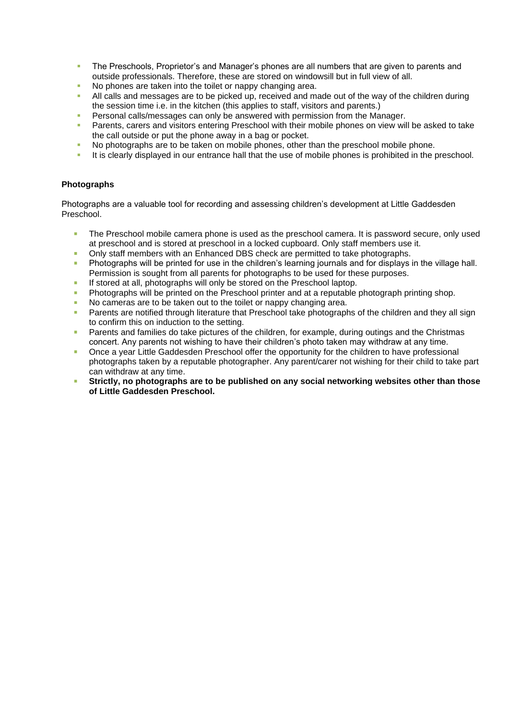- **The Preschools, Proprietor's and Manager's phones are all numbers that are given to parents and** outside professionals. Therefore, these are stored on windowsill but in full view of all.
- No phones are taken into the toilet or nappy changing area.
- All calls and messages are to be picked up, received and made out of the way of the children during the session time i.e. in the kitchen (this applies to staff, visitors and parents.)
- Personal calls/messages can only be answered with permission from the Manager.
- Parents, carers and visitors entering Preschool with their mobile phones on view will be asked to take the call outside or put the phone away in a bag or pocket.
- No photographs are to be taken on mobile phones, other than the preschool mobile phone.
- It is clearly displayed in our entrance hall that the use of mobile phones is prohibited in the preschool.

### **Photographs**

Photographs are a valuable tool for recording and assessing children's development at Little Gaddesden Preschool.

- The Preschool mobile camera phone is used as the preschool camera. It is password secure, only used at preschool and is stored at preschool in a locked cupboard. Only staff members use it.
- **•** Only staff members with an Enhanced DBS check are permitted to take photographs.
- **Photographs will be printed for use in the children's learning journals and for displays in the village hall.** Permission is sought from all parents for photographs to be used for these purposes.
- **EXECT** If stored at all, photographs will only be stored on the Preschool laptop.
- **•** Photographs will be printed on the Preschool printer and at a reputable photograph printing shop.
- No cameras are to be taken out to the toilet or nappy changing area.
- Parents are notified through literature that Preschool take photographs of the children and they all sign to confirm this on induction to the setting.
- Parents and families do take pictures of the children, for example, during outings and the Christmas concert. Any parents not wishing to have their children's photo taken may withdraw at any time.
- Once a year Little Gaddesden Preschool offer the opportunity for the children to have professional photographs taken by a reputable photographer. Any parent/carer not wishing for their child to take part can withdraw at any time.
- **Strictly, no photographs are to be published on any social networking websites other than those of Little Gaddesden Preschool.**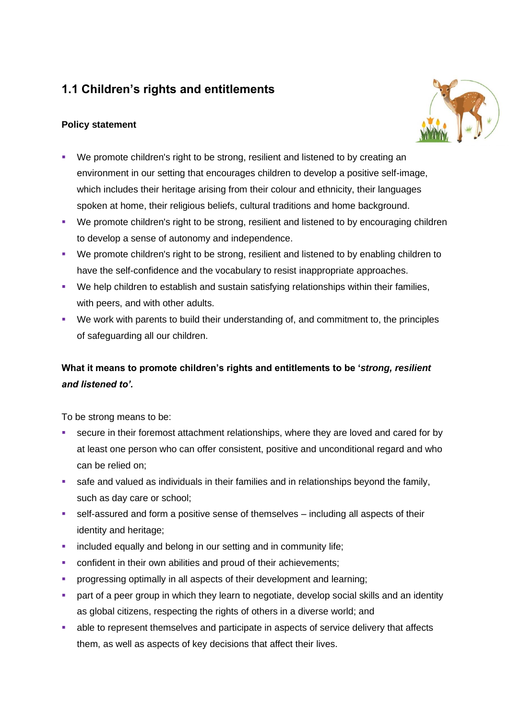# **1.1 Children's rights and entitlements**

# **Policy statement**



- We promote children's right to be strong, resilient and listened to by creating an environment in our setting that encourages children to develop a positive self-image, which includes their heritage arising from their colour and ethnicity, their languages spoken at home, their religious beliefs, cultural traditions and home background.
- We promote children's right to be strong, resilient and listened to by encouraging children to develop a sense of autonomy and independence.
- We promote children's right to be strong, resilient and listened to by enabling children to have the self-confidence and the vocabulary to resist inappropriate approaches.
- We help children to establish and sustain satisfying relationships within their families, with peers, and with other adults.
- We work with parents to build their understanding of, and commitment to, the principles of safeguarding all our children.

# **What it means to promote children's rights and entitlements to be '***strong, resilient and listened to'.*

To be strong means to be:

- secure in their foremost attachment relationships, where they are loved and cared for by at least one person who can offer consistent, positive and unconditional regard and who can be relied on;
- safe and valued as individuals in their families and in relationships beyond the family, such as day care or school;
- self-assured and form a positive sense of themselves including all aspects of their identity and heritage;
- **•** included equally and belong in our setting and in community life;
- **•** confident in their own abilities and proud of their achievements;
- **•** progressing optimally in all aspects of their development and learning;
- **•** part of a peer group in which they learn to negotiate, develop social skills and an identity as global citizens, respecting the rights of others in a diverse world; and
- able to represent themselves and participate in aspects of service delivery that affects them, as well as aspects of key decisions that affect their lives.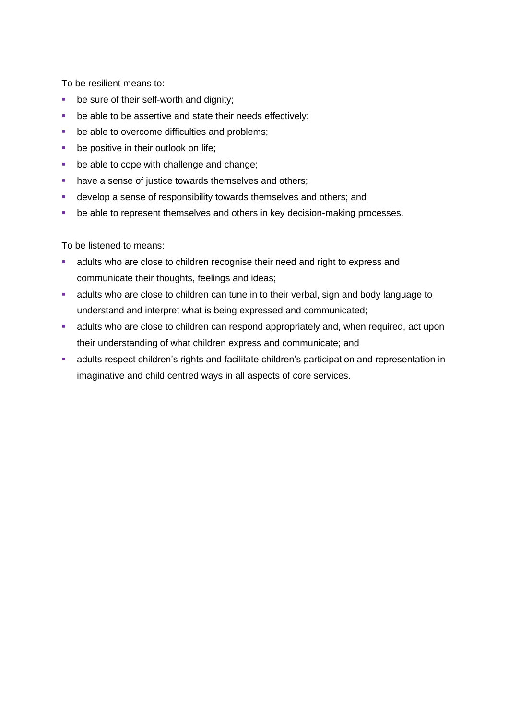To be resilient means to:

- be sure of their self-worth and dignity;
- be able to be assertive and state their needs effectively;
- be able to overcome difficulties and problems;
- **•** be positive in their outlook on life;
- be able to cope with challenge and change;
- have a sense of justice towards themselves and others;
- **■** develop a sense of responsibility towards themselves and others; and
- be able to represent themselves and others in key decision-making processes.

To be listened to means:

- **EXEDENT A** adults who are close to children recognise their need and right to express and communicate their thoughts, feelings and ideas;
- adults who are close to children can tune in to their verbal, sign and body language to understand and interpret what is being expressed and communicated;
- **EXECT** adults who are close to children can respond appropriately and, when required, act upon their understanding of what children express and communicate; and
- **■** adults respect children's rights and facilitate children's participation and representation in imaginative and child centred ways in all aspects of core services.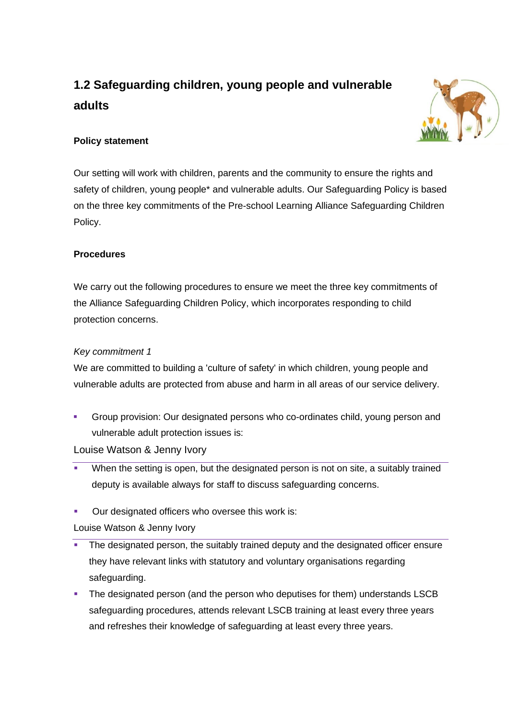# **1.2 Safeguarding children, young people and vulnerable adults**



# **Policy statement**

Our setting will work with children, parents and the community to ensure the rights and safety of children, young people\* and vulnerable adults. Our Safeguarding Policy is based on the three key commitments of the Pre-school Learning Alliance Safeguarding Children Policy.

# **Procedures**

We carry out the following procedures to ensure we meet the three key commitments of the Alliance Safeguarding Children Policy, which incorporates responding to child protection concerns.

# *Key commitment 1*

We are committed to building a 'culture of safety' in which children, young people and vulnerable adults are protected from abuse and harm in all areas of our service delivery.

Group provision: Our designated persons who co-ordinates child, young person and vulnerable adult protection issues is:

Louise Watson & Jenny Ivory

- When the setting is open, but the designated person is not on site, a suitably trained deputy is available always for staff to discuss safeguarding concerns.
- Our designated officers who oversee this work is:

Louise Watson & Jenny Ivory

- The designated person, the suitably trained deputy and the designated officer ensure they have relevant links with statutory and voluntary organisations regarding safeguarding.
- **•** The designated person (and the person who deputises for them) understands LSCB safeguarding procedures, attends relevant LSCB training at least every three years and refreshes their knowledge of safeguarding at least every three years.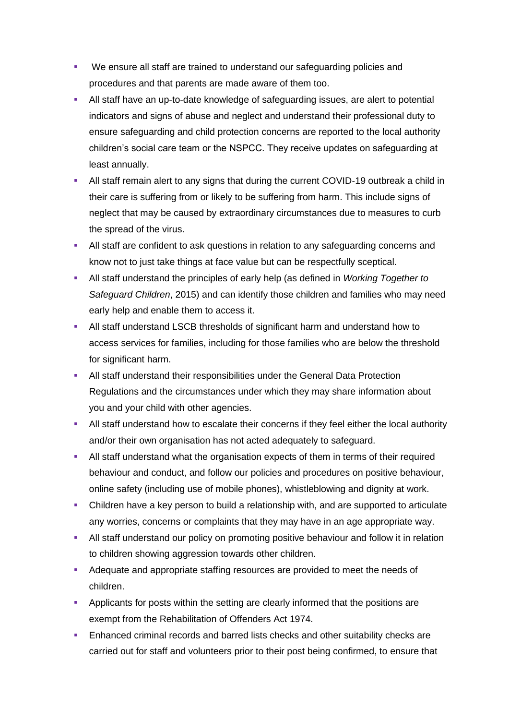- We ensure all staff are trained to understand our safeguarding policies and procedures and that parents are made aware of them too.
- All staff have an up-to-date knowledge of safeguarding issues, are alert to potential indicators and signs of abuse and neglect and understand their professional duty to ensure safeguarding and child protection concerns are reported to the local authority children's social care team or the NSPCC. They receive updates on safeguarding at least annually.
- **E** All staff remain alert to any signs that during the current COVID-19 outbreak a child in their care is suffering from or likely to be suffering from harm. This include signs of neglect that may be caused by extraordinary circumstances due to measures to curb the spread of the virus.
- **EXECT** All staff are confident to ask questions in relation to any safeguarding concerns and know not to just take things at face value but can be respectfully sceptical.
- All staff understand the principles of early help (as defined in *Working Together to Safeguard Children*, 2015) and can identify those children and families who may need early help and enable them to access it.
- All staff understand LSCB thresholds of significant harm and understand how to access services for families, including for those families who are below the threshold for significant harm.
- **E** All staff understand their responsibilities under the General Data Protection Regulations and the circumstances under which they may share information about you and your child with other agencies.
- **EXECT** All staff understand how to escalate their concerns if they feel either the local authority and/or their own organisation has not acted adequately to safeguard.
- All staff understand what the organisation expects of them in terms of their required behaviour and conduct, and follow our policies and procedures on positive behaviour, online safety (including use of mobile phones), whistleblowing and dignity at work.
- Children have a key person to build a relationship with, and are supported to articulate any worries, concerns or complaints that they may have in an age appropriate way.
- **E** All staff understand our policy on promoting positive behaviour and follow it in relation to children showing aggression towards other children.
- Adequate and appropriate staffing resources are provided to meet the needs of children.
- **Applicants for posts within the setting are clearly informed that the positions are** exempt from the Rehabilitation of Offenders Act 1974.
- **Enhanced criminal records and barred lists checks and other suitability checks are** carried out for staff and volunteers prior to their post being confirmed, to ensure that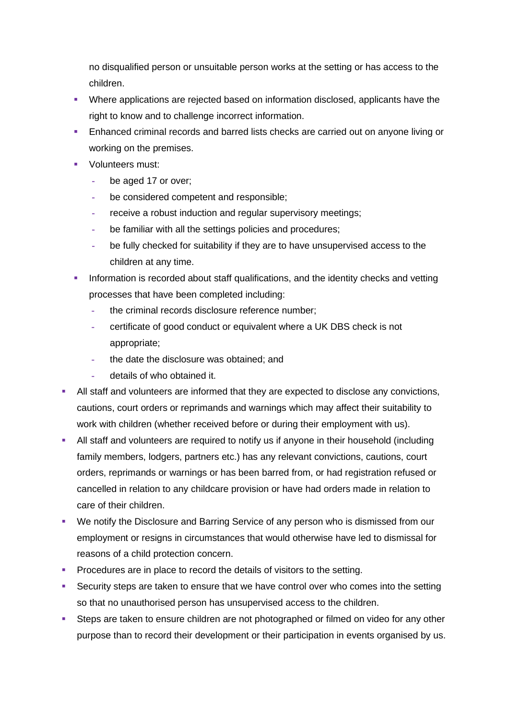no disqualified person or unsuitable person works at the setting or has access to the children.

- Where applications are rejected based on information disclosed, applicants have the right to know and to challenge incorrect information.
- Enhanced criminal records and barred lists checks are carried out on anyone living or working on the premises.
- Volunteers must:
	- **-** be aged 17 or over;
	- **-** be considered competent and responsible;
	- **-** receive a robust induction and regular supervisory meetings;
	- **-** be familiar with all the settings policies and procedures;
	- **-** be fully checked for suitability if they are to have unsupervised access to the children at any time.
- Information is recorded about staff qualifications, and the identity checks and vetting processes that have been completed including:
	- **-** the criminal records disclosure reference number;
	- **-** certificate of good conduct or equivalent where a UK DBS check is not appropriate;
	- **-** the date the disclosure was obtained; and
	- **-** details of who obtained it.
- All staff and volunteers are informed that they are expected to disclose any convictions, cautions, court orders or reprimands and warnings which may affect their suitability to work with children (whether received before or during their employment with us).
- **EXTEND 10** All staff and volunteers are required to notify us if anyone in their household (including family members, lodgers, partners etc.) has any relevant convictions, cautions, court orders, reprimands or warnings or has been barred from, or had registration refused or cancelled in relation to any childcare provision or have had orders made in relation to care of their children.
- We notify the Disclosure and Barring Service of any person who is dismissed from our employment or resigns in circumstances that would otherwise have led to dismissal for reasons of a child protection concern.
- **Procedures are in place to record the details of visitors to the setting.**
- **EXECUTE SECUTE SECUTE:** Security steps are taken to ensure that we have control over who comes into the setting so that no unauthorised person has unsupervised access to the children.
- **EXECTS** Steps are taken to ensure children are not photographed or filmed on video for any other purpose than to record their development or their participation in events organised by us.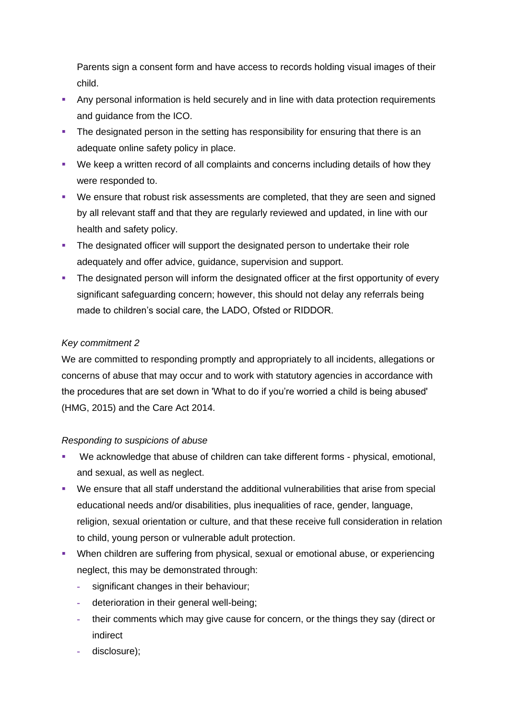Parents sign a consent form and have access to records holding visual images of their child.

- Any personal information is held securely and in line with data protection requirements and guidance from the ICO.
- **•** The designated person in the setting has responsibility for ensuring that there is an adequate online safety policy in place.
- We keep a written record of all complaints and concerns including details of how they were responded to.
- We ensure that robust risk assessments are completed, that they are seen and signed by all relevant staff and that they are regularly reviewed and updated, in line with our health and safety policy.
- **The designated officer will support the designated person to undertake their role** adequately and offer advice, guidance, supervision and support.
- **The designated person will inform the designated officer at the first opportunity of every** significant safeguarding concern; however, this should not delay any referrals being made to children's social care, the LADO, Ofsted or RIDDOR.

# *Key commitment 2*

We are committed to responding promptly and appropriately to all incidents, allegations or concerns of abuse that may occur and to work with statutory agencies in accordance with the procedures that are set down in 'What to do if you're worried a child is being abused' (HMG, 2015) and the Care Act 2014.

### *Responding to suspicions of abuse*

- We acknowledge that abuse of children can take different forms physical, emotional, and sexual, as well as neglect.
- We ensure that all staff understand the additional vulnerabilities that arise from special educational needs and/or disabilities, plus inequalities of race, gender, language, religion, sexual orientation or culture, and that these receive full consideration in relation to child, young person or vulnerable adult protection.
- **When children are suffering from physical, sexual or emotional abuse, or experiencing** neglect, this may be demonstrated through:
	- **-** significant changes in their behaviour;
	- **-** deterioration in their general well-being;
	- **-** their comments which may give cause for concern, or the things they say (direct or indirect
	- **-** disclosure);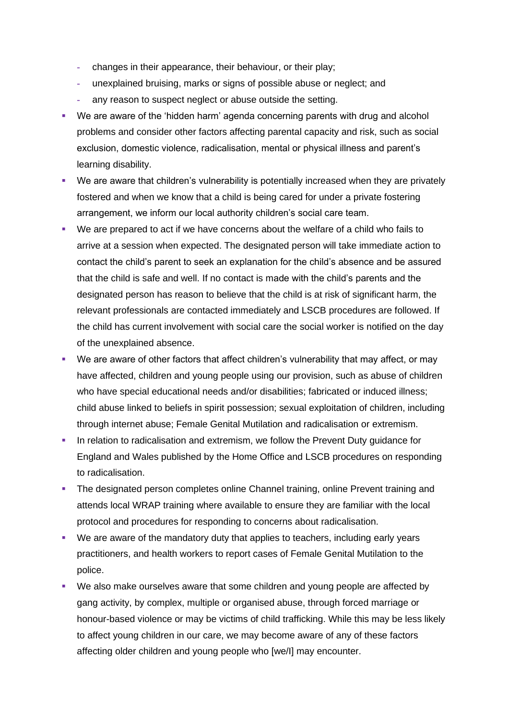- **-** changes in their appearance, their behaviour, or their play;
- **-** unexplained bruising, marks or signs of possible abuse or neglect; and
- **-** any reason to suspect neglect or abuse outside the setting.
- We are aware of the 'hidden harm' agenda concerning parents with drug and alcohol problems and consider other factors affecting parental capacity and risk, such as social exclusion, domestic violence, radicalisation, mental or physical illness and parent's learning disability.
- We are aware that children's vulnerability is potentially increased when they are privately fostered and when we know that a child is being cared for under a private fostering arrangement, we inform our local authority children's social care team.
- We are prepared to act if we have concerns about the welfare of a child who fails to arrive at a session when expected. The designated person will take immediate action to contact the child's parent to seek an explanation for the child's absence and be assured that the child is safe and well. If no contact is made with the child's parents and the designated person has reason to believe that the child is at risk of significant harm, the relevant professionals are contacted immediately and LSCB procedures are followed. If the child has current involvement with social care the social worker is notified on the day of the unexplained absence.
- We are aware of other factors that affect children's vulnerability that may affect, or may have affected, children and young people using our provision, such as abuse of children who have special educational needs and/or disabilities; fabricated or induced illness; child abuse linked to beliefs in spirit possession; sexual exploitation of children, including through internet abuse; Female Genital Mutilation and radicalisation or extremism.
- **.** In relation to radicalisation and extremism, we follow the Prevent Duty quidance for England and Wales published by the Home Office and LSCB procedures on responding to radicalisation.
- **The designated person completes online Channel training, online Prevent training and** attends local WRAP training where available to ensure they are familiar with the local protocol and procedures for responding to concerns about radicalisation.
- We are aware of the mandatory duty that applies to teachers, including early years practitioners, and health workers to report cases of Female Genital Mutilation to the police.
- We also make ourselves aware that some children and young people are affected by gang activity, by complex, multiple or organised abuse, through forced marriage or honour-based violence or may be victims of child trafficking. While this may be less likely to affect young children in our care, we may become aware of any of these factors affecting older children and young people who [we/I] may encounter.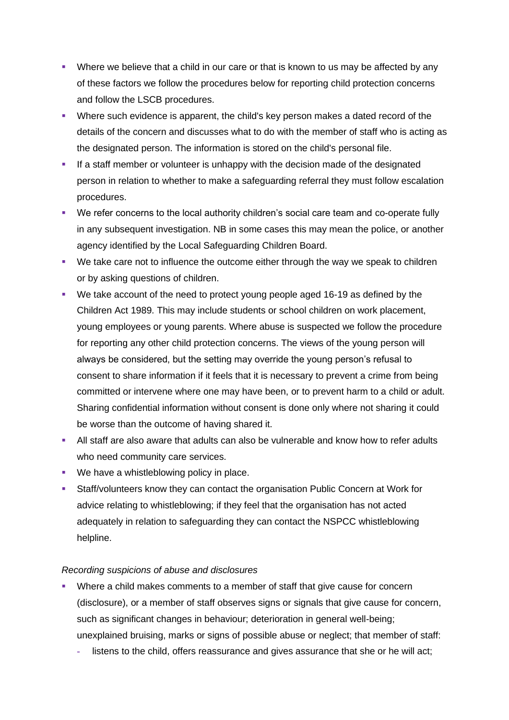- **•** Where we believe that a child in our care or that is known to us may be affected by any of these factors we follow the procedures below for reporting child protection concerns and follow the LSCB procedures.
- Where such evidence is apparent, the child's key person makes a dated record of the details of the concern and discusses what to do with the member of staff who is acting as the designated person. The information is stored on the child's personal file.
- **.** If a staff member or volunteer is unhappy with the decision made of the designated person in relation to whether to make a safeguarding referral they must follow escalation procedures.
- We refer concerns to the local authority children's social care team and co-operate fully in any subsequent investigation. NB in some cases this may mean the police, or another agency identified by the Local Safeguarding Children Board.
- We take care not to influence the outcome either through the way we speak to children or by asking questions of children.
- We take account of the need to protect young people aged 16-19 as defined by the Children Act 1989. This may include students or school children on work placement, young employees or young parents. Where abuse is suspected we follow the procedure for reporting any other child protection concerns. The views of the young person will always be considered, but the setting may override the young person's refusal to consent to share information if it feels that it is necessary to prevent a crime from being committed or intervene where one may have been, or to prevent harm to a child or adult. Sharing confidential information without consent is done only where not sharing it could be worse than the outcome of having shared it.
- All staff are also aware that adults can also be vulnerable and know how to refer adults who need community care services.
- We have a whistleblowing policy in place.
- Staff/volunteers know they can contact the organisation Public Concern at Work for advice relating to whistleblowing; if they feel that the organisation has not acted adequately in relation to safeguarding they can contact the NSPCC whistleblowing helpline.

### *Recording suspicions of abuse and disclosures*

- Where a child makes comments to a member of staff that give cause for concern (disclosure), or a member of staff observes signs or signals that give cause for concern, such as significant changes in behaviour; deterioration in general well-being; unexplained bruising, marks or signs of possible abuse or neglect; that member of staff:
	- **-** listens to the child, offers reassurance and gives assurance that she or he will act;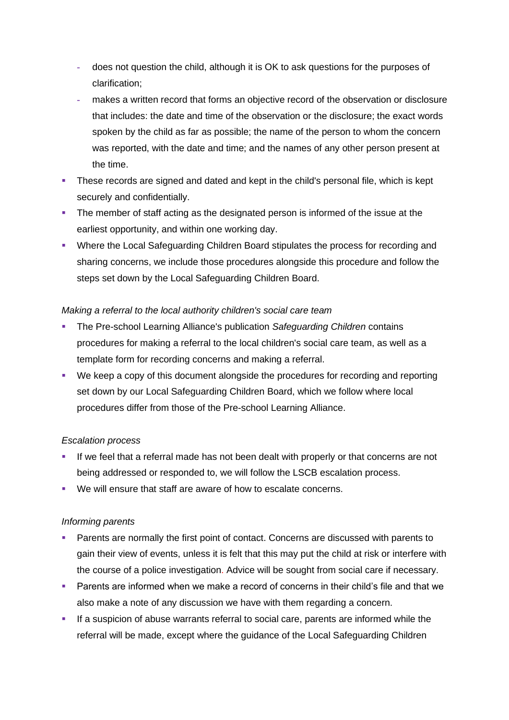- **-** does not question the child, although it is OK to ask questions for the purposes of clarification;
- **-** makes a written record that forms an objective record of the observation or disclosure that includes: the date and time of the observation or the disclosure; the exact words spoken by the child as far as possible; the name of the person to whom the concern was reported, with the date and time; and the names of any other person present at the time.
- **•** These records are signed and dated and kept in the child's personal file, which is kept securely and confidentially.
- **•** The member of staff acting as the designated person is informed of the issue at the earliest opportunity, and within one working day.
- Where the Local Safeguarding Children Board stipulates the process for recording and sharing concerns, we include those procedures alongside this procedure and follow the steps set down by the Local Safeguarding Children Board.

### *Making a referral to the local authority children's social care team*

- The Pre-school Learning Alliance's publication *Safeguarding Children* contains procedures for making a referral to the local children's social care team, as well as a template form for recording concerns and making a referral.
- We keep a copy of this document alongside the procedures for recording and reporting set down by our Local Safeguarding Children Board, which we follow where local procedures differ from those of the Pre-school Learning Alliance.

### *Escalation process*

- If we feel that a referral made has not been dealt with properly or that concerns are not being addressed or responded to, we will follow the LSCB escalation process.
- We will ensure that staff are aware of how to escalate concerns.

# *Informing parents*

- **Parents are normally the first point of contact. Concerns are discussed with parents to** gain their view of events, unless it is felt that this may put the child at risk or interfere with the course of a police investigation. Advice will be sought from social care if necessary.
- Parents are informed when we make a record of concerns in their child's file and that we also make a note of any discussion we have with them regarding a concern.
- **.** If a suspicion of abuse warrants referral to social care, parents are informed while the referral will be made, except where the guidance of the Local Safeguarding Children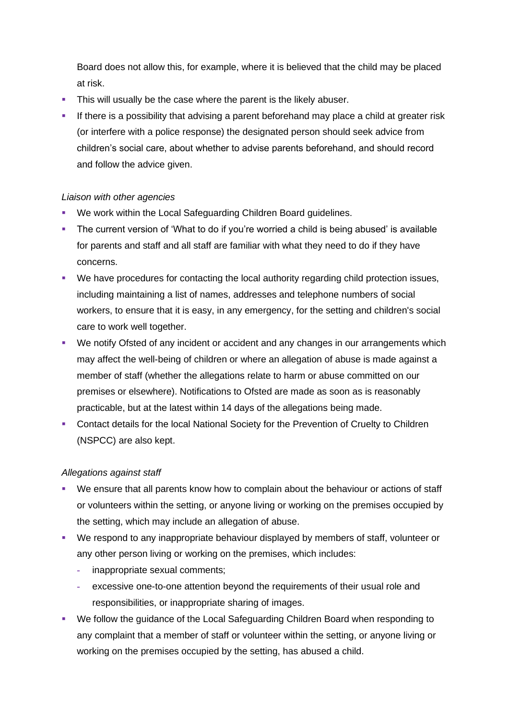Board does not allow this, for example, where it is believed that the child may be placed at risk.

- **•** This will usually be the case where the parent is the likely abuser.
- **EXT** If there is a possibility that advising a parent beforehand may place a child at greater risk (or interfere with a police response) the designated person should seek advice from children's social care, about whether to advise parents beforehand, and should record and follow the advice given.

### *Liaison with other agencies*

- We work within the Local Safeguarding Children Board guidelines.
- The current version of 'What to do if you're worried a child is being abused' is available for parents and staff and all staff are familiar with what they need to do if they have concerns.
- We have procedures for contacting the local authority regarding child protection issues, including maintaining a list of names, addresses and telephone numbers of social workers, to ensure that it is easy, in any emergency, for the setting and children's social care to work well together.
- We notify Ofsted of any incident or accident and any changes in our arrangements which may affect the well-being of children or where an allegation of abuse is made against a member of staff (whether the allegations relate to harm or abuse committed on our premises or elsewhere). Notifications to Ofsted are made as soon as is reasonably practicable, but at the latest within 14 days of the allegations being made.
- Contact details for the local National Society for the Prevention of Cruelty to Children (NSPCC) are also kept.

### *Allegations against staff*

- We ensure that all parents know how to complain about the behaviour or actions of staff or volunteers within the setting, or anyone living or working on the premises occupied by the setting, which may include an allegation of abuse.
- We respond to any inappropriate behaviour displayed by members of staff, volunteer or any other person living or working on the premises, which includes:
	- **-** inappropriate sexual comments;
	- **-** excessive one-to-one attention beyond the requirements of their usual role and responsibilities, or inappropriate sharing of images.
- We follow the guidance of the Local Safeguarding Children Board when responding to any complaint that a member of staff or volunteer within the setting, or anyone living or working on the premises occupied by the setting, has abused a child.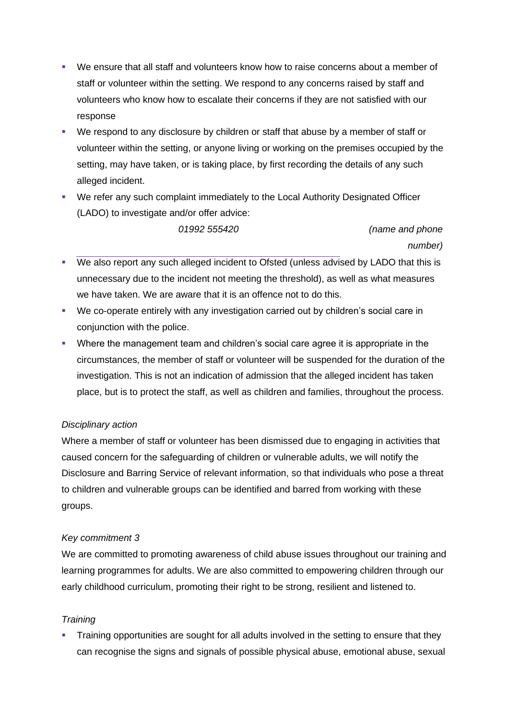- We ensure that all staff and volunteers know how to raise concerns about a member of staff or volunteer within the setting. We respond to any concerns raised by staff and volunteers who know how to escalate their concerns if they are not satisfied with our response
- We respond to any disclosure by children or staff that abuse by a member of staff or volunteer within the setting, or anyone living or working on the premises occupied by the setting, may have taken, or is taking place, by first recording the details of any such alleged incident.
- We refer any such complaint immediately to the Local Authority Designated Officer (LADO) to investigate and/or offer advice:

*01992 555420 (name and phone number)*

- We also report any such alleged incident to Ofsted (unless advised by LADO that this is unnecessary due to the incident not meeting the threshold), as well as what measures we have taken. We are aware that it is an offence not to do this.
- We co-operate entirely with any investigation carried out by children's social care in conjunction with the police.
- Where the management team and children's social care agree it is appropriate in the circumstances, the member of staff or volunteer will be suspended for the duration of the investigation. This is not an indication of admission that the alleged incident has taken place, but is to protect the staff, as well as children and families, throughout the process.

# *Disciplinary action*

Where a member of staff or volunteer has been dismissed due to engaging in activities that caused concern for the safeguarding of children or vulnerable adults, we will notify the Disclosure and Barring Service of relevant information, so that individuals who pose a threat to children and vulnerable groups can be identified and barred from working with these groups.

# *Key commitment 3*

We are committed to promoting awareness of child abuse issues throughout our training and learning programmes for adults. We are also committed to empowering children through our early childhood curriculum, promoting their right to be strong, resilient and listened to.

# *Training*

Training opportunities are sought for all adults involved in the setting to ensure that they can recognise the signs and signals of possible physical abuse, emotional abuse, sexual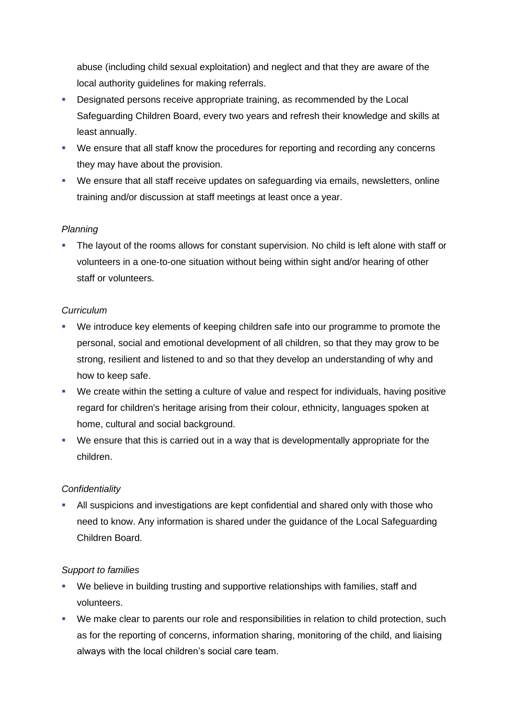abuse (including child sexual exploitation) and neglect and that they are aware of the local authority guidelines for making referrals.

- Designated persons receive appropriate training, as recommended by the Local Safeguarding Children Board, every two years and refresh their knowledge and skills at least annually.
- We ensure that all staff know the procedures for reporting and recording any concerns they may have about the provision.
- We ensure that all staff receive updates on safeguarding via emails, newsletters, online training and/or discussion at staff meetings at least once a year.

### *Planning*

**.** The layout of the rooms allows for constant supervision. No child is left alone with staff or volunteers in a one-to-one situation without being within sight and/or hearing of other staff or volunteers.

### *Curriculum*

- We introduce key elements of keeping children safe into our programme to promote the personal, social and emotional development of all children, so that they may grow to be strong, resilient and listened to and so that they develop an understanding of why and how to keep safe.
- We create within the setting a culture of value and respect for individuals, having positive regard for children's heritage arising from their colour, ethnicity, languages spoken at home, cultural and social background.
- We ensure that this is carried out in a way that is developmentally appropriate for the children.

# *Confidentiality*

**EXECT** All suspicions and investigations are kept confidential and shared only with those who need to know. Any information is shared under the guidance of the Local Safeguarding Children Board.

### *Support to families*

- We believe in building trusting and supportive relationships with families, staff and volunteers.
- We make clear to parents our role and responsibilities in relation to child protection, such as for the reporting of concerns, information sharing, monitoring of the child, and liaising always with the local children's social care team.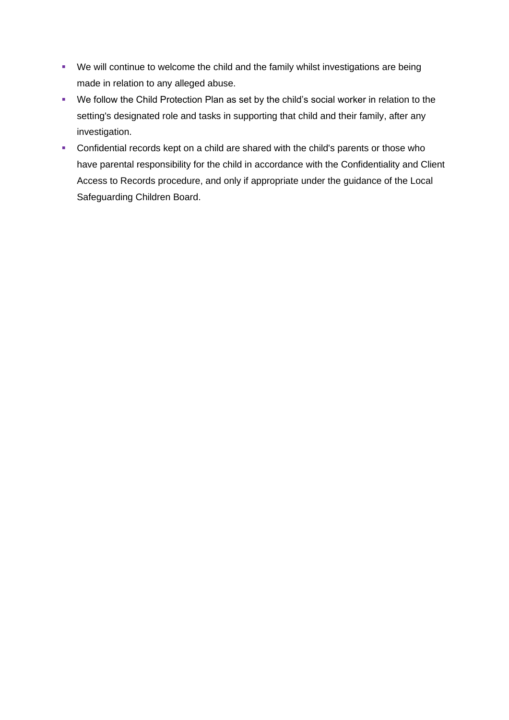- We will continue to welcome the child and the family whilst investigations are being made in relation to any alleged abuse.
- We follow the Child Protection Plan as set by the child's social worker in relation to the setting's designated role and tasks in supporting that child and their family, after any investigation.
- Confidential records kept on a child are shared with the child's parents or those who have parental responsibility for the child in accordance with the Confidentiality and Client Access to Records procedure, and only if appropriate under the guidance of the Local Safeguarding Children Board.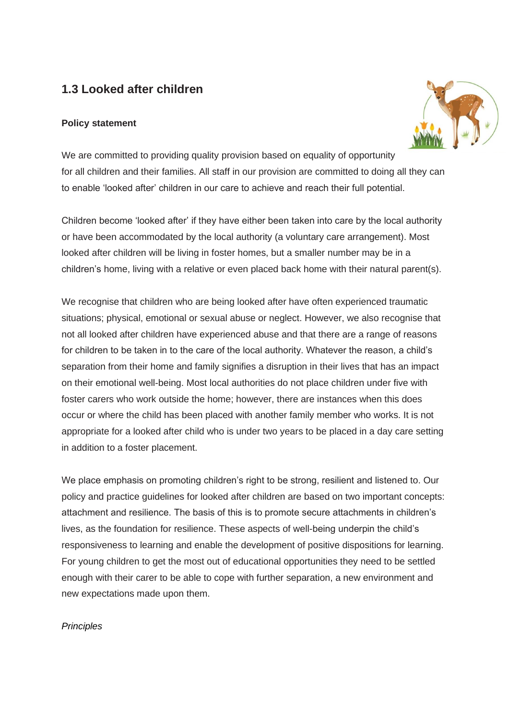# **1.3 Looked after children**

# **Policy statement**



We are committed to providing quality provision based on equality of opportunity for all children and their families. All staff in our provision are committed to doing all they can to enable 'looked after' children in our care to achieve and reach their full potential.

Children become 'looked after' if they have either been taken into care by the local authority or have been accommodated by the local authority (a voluntary care arrangement). Most looked after children will be living in foster homes, but a smaller number may be in a children's home, living with a relative or even placed back home with their natural parent(s).

We recognise that children who are being looked after have often experienced traumatic situations; physical, emotional or sexual abuse or neglect. However, we also recognise that not all looked after children have experienced abuse and that there are a range of reasons for children to be taken in to the care of the local authority. Whatever the reason, a child's separation from their home and family signifies a disruption in their lives that has an impact on their emotional well-being. Most local authorities do not place children under five with foster carers who work outside the home; however, there are instances when this does occur or where the child has been placed with another family member who works. It is not appropriate for a looked after child who is under two years to be placed in a day care setting in addition to a foster placement.

We place emphasis on promoting children's right to be strong, resilient and listened to. Our policy and practice guidelines for looked after children are based on two important concepts: attachment and resilience. The basis of this is to promote secure attachments in children's lives, as the foundation for resilience. These aspects of well-being underpin the child's responsiveness to learning and enable the development of positive dispositions for learning. For young children to get the most out of educational opportunities they need to be settled enough with their carer to be able to cope with further separation, a new environment and new expectations made upon them.

# *Principles*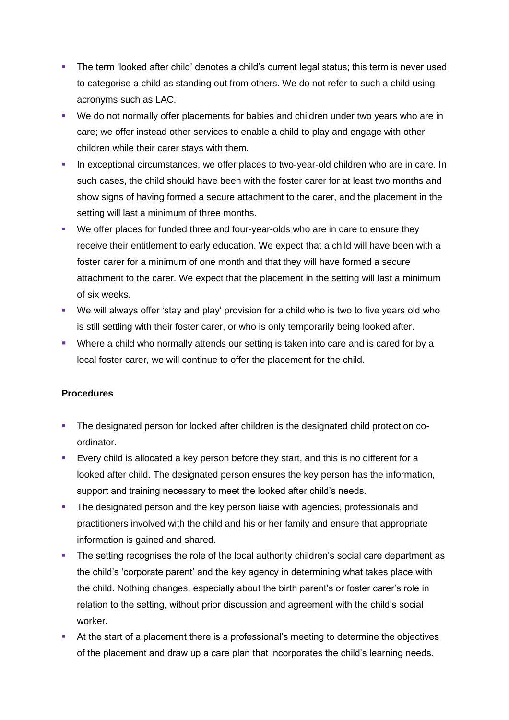- **•** The term 'looked after child' denotes a child's current legal status; this term is never used to categorise a child as standing out from others. We do not refer to such a child using acronyms such as LAC.
- We do not normally offer placements for babies and children under two years who are in care; we offer instead other services to enable a child to play and engage with other children while their carer stays with them.
- **·** In exceptional circumstances, we offer places to two-year-old children who are in care. In such cases, the child should have been with the foster carer for at least two months and show signs of having formed a secure attachment to the carer, and the placement in the setting will last a minimum of three months.
- We offer places for funded three and four-year-olds who are in care to ensure they receive their entitlement to early education. We expect that a child will have been with a foster carer for a minimum of one month and that they will have formed a secure attachment to the carer. We expect that the placement in the setting will last a minimum of six weeks.
- We will always offer 'stay and play' provision for a child who is two to five years old who is still settling with their foster carer, or who is only temporarily being looked after.
- Where a child who normally attends our setting is taken into care and is cared for by a local foster carer, we will continue to offer the placement for the child.

### **Procedures**

- **The designated person for looked after children is the designated child protection co**ordinator.
- **Every child is allocated a key person before they start, and this is no different for a** looked after child. The designated person ensures the key person has the information, support and training necessary to meet the looked after child's needs.
- **The designated person and the key person liaise with agencies, professionals and** practitioners involved with the child and his or her family and ensure that appropriate information is gained and shared.
- **•** The setting recognises the role of the local authority children's social care department as the child's 'corporate parent' and the key agency in determining what takes place with the child. Nothing changes, especially about the birth parent's or foster carer's role in relation to the setting, without prior discussion and agreement with the child's social worker.
- At the start of a placement there is a professional's meeting to determine the objectives of the placement and draw up a care plan that incorporates the child's learning needs.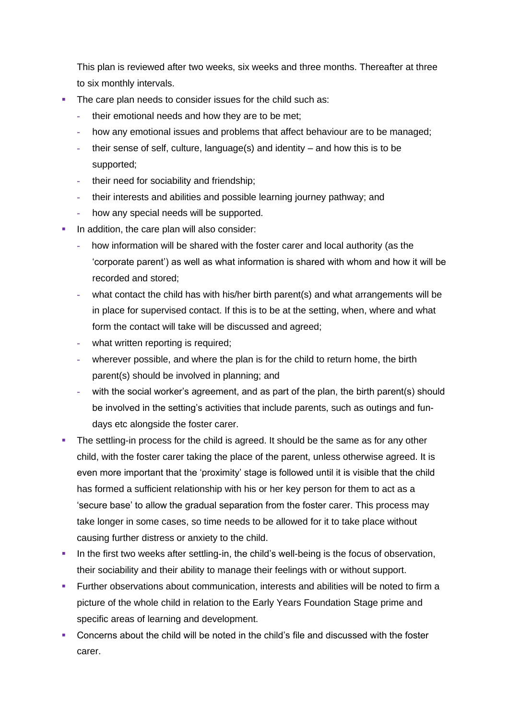This plan is reviewed after two weeks, six weeks and three months. Thereafter at three to six monthly intervals.

- The care plan needs to consider issues for the child such as:
	- **-** their emotional needs and how they are to be met;
	- **-** how any emotional issues and problems that affect behaviour are to be managed;
	- **-** their sense of self, culture, language(s) and identity and how this is to be supported;
	- **-** their need for sociability and friendship;
	- **-** their interests and abilities and possible learning journey pathway; and
	- **-** how any special needs will be supported.
- **In addition, the care plan will also consider:** 
	- **-** how information will be shared with the foster carer and local authority (as the 'corporate parent') as well as what information is shared with whom and how it will be recorded and stored;
	- **-** what contact the child has with his/her birth parent(s) and what arrangements will be in place for supervised contact. If this is to be at the setting, when, where and what form the contact will take will be discussed and agreed;
	- **-** what written reporting is required;
	- **-** wherever possible, and where the plan is for the child to return home, the birth parent(s) should be involved in planning; and
	- with the social worker's agreement, and as part of the plan, the birth parent(s) should be involved in the setting's activities that include parents, such as outings and fundays etc alongside the foster carer.
- **•** The settling-in process for the child is agreed. It should be the same as for any other child, with the foster carer taking the place of the parent, unless otherwise agreed. It is even more important that the 'proximity' stage is followed until it is visible that the child has formed a sufficient relationship with his or her key person for them to act as a 'secure base' to allow the gradual separation from the foster carer. This process may take longer in some cases, so time needs to be allowed for it to take place without causing further distress or anxiety to the child.
- **•** In the first two weeks after settling-in, the child's well-being is the focus of observation, their sociability and their ability to manage their feelings with or without support.
- Further observations about communication, interests and abilities will be noted to firm a picture of the whole child in relation to the Early Years Foundation Stage prime and specific areas of learning and development.
- Concerns about the child will be noted in the child's file and discussed with the foster carer.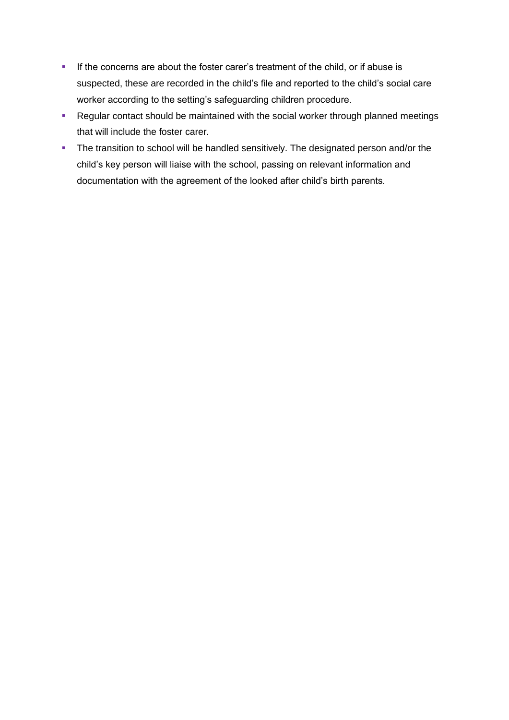- **•** If the concerns are about the foster carer's treatment of the child, or if abuse is suspected, these are recorded in the child's file and reported to the child's social care worker according to the setting's safeguarding children procedure.
- **Regular contact should be maintained with the social worker through planned meetings** that will include the foster carer.
- **•** The transition to school will be handled sensitively. The designated person and/or the child's key person will liaise with the school, passing on relevant information and documentation with the agreement of the looked after child's birth parents.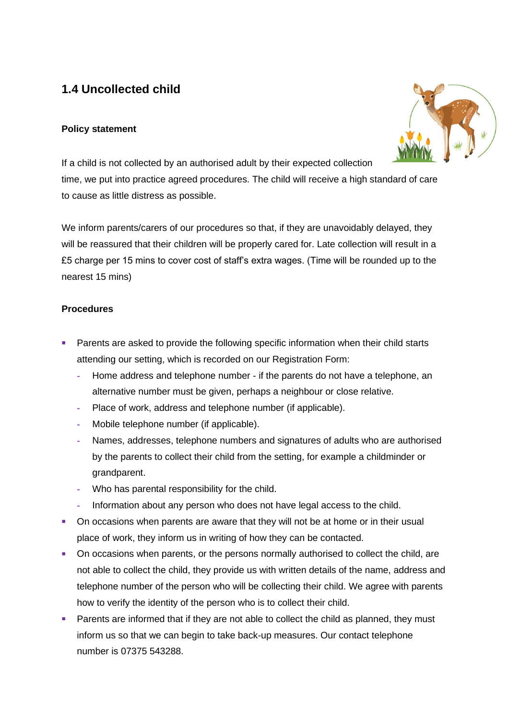# **1.4 Uncollected child**

### **Policy statement**



If a child is not collected by an authorised adult by their expected collection time, we put into practice agreed procedures. The child will receive a high standard of care to cause as little distress as possible.

We inform parents/carers of our procedures so that, if they are unavoidably delayed, they will be reassured that their children will be properly cared for. Late collection will result in a £5 charge per 15 mins to cover cost of staff's extra wages. (Time will be rounded up to the nearest 15 mins)

### **Procedures**

- Parents are asked to provide the following specific information when their child starts attending our setting, which is recorded on our Registration Form:
	- **-** Home address and telephone number if the parents do not have a telephone, an alternative number must be given, perhaps a neighbour or close relative.
	- **-** Place of work, address and telephone number (if applicable).
	- **-** Mobile telephone number (if applicable).
	- **-** Names, addresses, telephone numbers and signatures of adults who are authorised by the parents to collect their child from the setting, for example a childminder or grandparent.
	- **-** Who has parental responsibility for the child.
	- **-** Information about any person who does not have legal access to the child.
- **On occasions when parents are aware that they will not be at home or in their usual** place of work, they inform us in writing of how they can be contacted.
- **•** On occasions when parents, or the persons normally authorised to collect the child, are not able to collect the child, they provide us with written details of the name, address and telephone number of the person who will be collecting their child. We agree with parents how to verify the identity of the person who is to collect their child.
- Parents are informed that if they are not able to collect the child as planned, they must inform us so that we can begin to take back-up measures. Our contact telephone number is 07375 543288.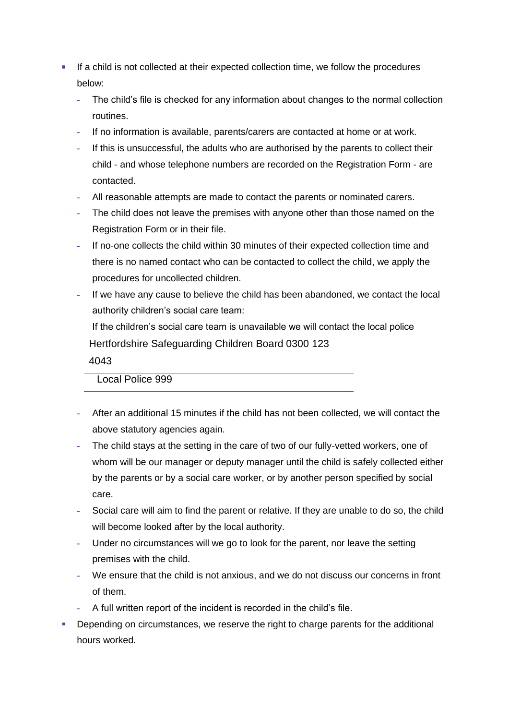- **EXECT** If a child is not collected at their expected collection time, we follow the procedures below:
	- **-** The child's file is checked for any information about changes to the normal collection routines.
	- **-** If no information is available, parents/carers are contacted at home or at work.
	- **-** If this is unsuccessful, the adults who are authorised by the parents to collect their child - and whose telephone numbers are recorded on the Registration Form - are contacted.
	- **-** All reasonable attempts are made to contact the parents or nominated carers.
	- **-** The child does not leave the premises with anyone other than those named on the Registration Form or in their file.
	- **-** If no-one collects the child within 30 minutes of their expected collection time and there is no named contact who can be contacted to collect the child, we apply the procedures for uncollected children.
	- **-** If we have any cause to believe the child has been abandoned, we contact the local authority children's social care team:

If the children's social care team is unavailable we will contact the local police Hertfordshire Safeguarding Children Board 0300 123

4043

Local Police 999

- **-** After an additional 15 minutes if the child has not been collected, we will contact the above statutory agencies again.
- **-** The child stays at the setting in the care of two of our fully-vetted workers, one of whom will be our manager or deputy manager until the child is safely collected either by the parents or by a social care worker, or by another person specified by social care.
- **-** Social care will aim to find the parent or relative. If they are unable to do so, the child will become looked after by the local authority.
- **-** Under no circumstances will we go to look for the parent, nor leave the setting premises with the child.
- **-** We ensure that the child is not anxious, and we do not discuss our concerns in front of them.
- **-** A full written report of the incident is recorded in the child's file.
- Depending on circumstances, we reserve the right to charge parents for the additional hours worked.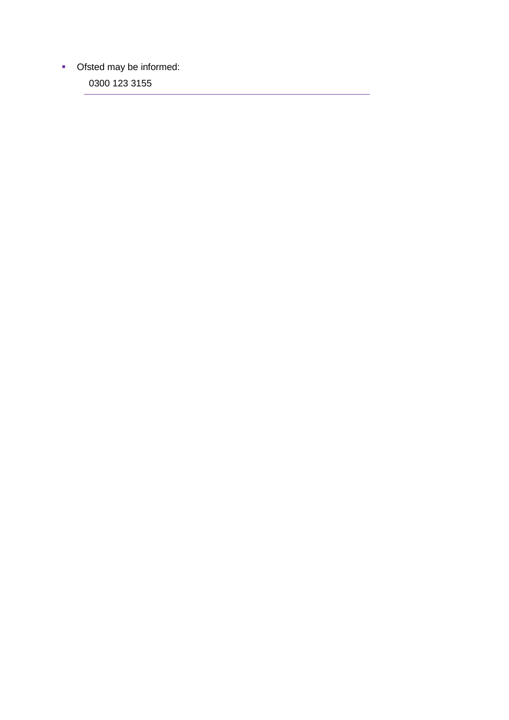■ Ofsted may be informed:

0300 123 3155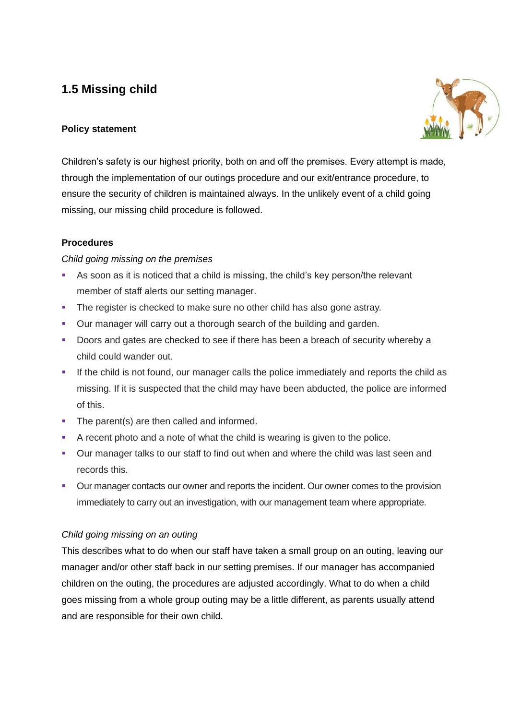# **1.5 Missing child**



# **Policy statement**

Children's safety is our highest priority, both on and off the premises. Every attempt is made, through the implementation of our outings procedure and our exit/entrance procedure, to ensure the security of children is maintained always. In the unlikely event of a child going missing, our missing child procedure is followed.

# **Procedures**

# *Child going missing on the premises*

- As soon as it is noticed that a child is missing, the child's key person/the relevant member of staff alerts our setting manager.
- **The register is checked to make sure no other child has also gone astray.**
- Our manager will carry out a thorough search of the building and garden.
- Doors and gates are checked to see if there has been a breach of security whereby a child could wander out.
- **.** If the child is not found, our manager calls the police immediately and reports the child as missing. If it is suspected that the child may have been abducted, the police are informed of this.
- The parent(s) are then called and informed.
- A recent photo and a note of what the child is wearing is given to the police.
- **•** Our manager talks to our staff to find out when and where the child was last seen and records this.
- Our manager contacts our owner and reports the incident. Our owner comes to the provision immediately to carry out an investigation, with our management team where appropriate.

# *Child going missing on an outing*

This describes what to do when our staff have taken a small group on an outing, leaving our manager and/or other staff back in our setting premises. If our manager has accompanied children on the outing, the procedures are adjusted accordingly. What to do when a child goes missing from a whole group outing may be a little different, as parents usually attend and are responsible for their own child.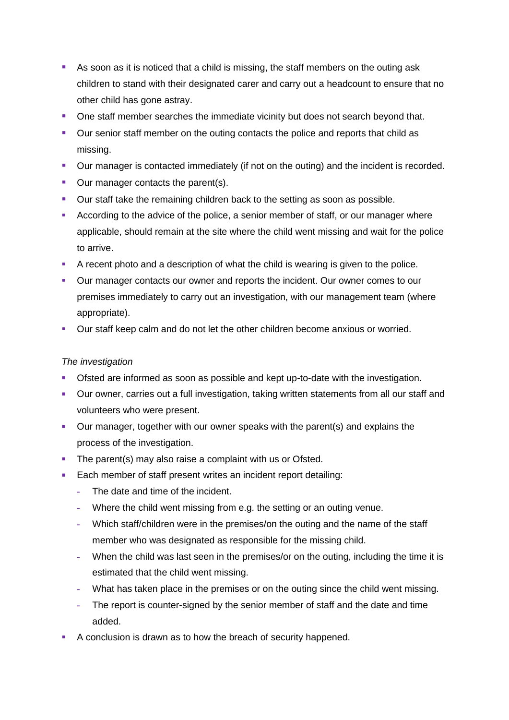- As soon as it is noticed that a child is missing, the staff members on the outing ask children to stand with their designated carer and carry out a headcount to ensure that no other child has gone astray.
- One staff member searches the immediate vicinity but does not search beyond that.
- Our senior staff member on the outing contacts the police and reports that child as missing.
- Our manager is contacted immediately (if not on the outing) and the incident is recorded.
- Our manager contacts the parent(s).
- Our staff take the remaining children back to the setting as soon as possible.
- According to the advice of the police, a senior member of staff, or our manager where applicable, should remain at the site where the child went missing and wait for the police to arrive.
- **•** A recent photo and a description of what the child is wearing is given to the police.
- Our manager contacts our owner and reports the incident. Our owner comes to our premises immediately to carry out an investigation, with our management team (where appropriate).
- **Our staff keep calm and do not let the other children become anxious or worried.**

# *The investigation*

- **EXECT** Ofsted are informed as soon as possible and kept up-to-date with the investigation.
- Our owner, carries out a full investigation, taking written statements from all our staff and volunteers who were present.
- Our manager, together with our owner speaks with the parent(s) and explains the process of the investigation.
- **•** The parent(s) may also raise a complaint with us or Ofsted.
- Each member of staff present writes an incident report detailing:
	- **-** The date and time of the incident.
	- **-** Where the child went missing from e.g. the setting or an outing venue.
	- **-** Which staff/children were in the premises/on the outing and the name of the staff member who was designated as responsible for the missing child.
	- **-** When the child was last seen in the premises/or on the outing, including the time it is estimated that the child went missing.
	- **-** What has taken place in the premises or on the outing since the child went missing.
	- **-** The report is counter-signed by the senior member of staff and the date and time added.
- A conclusion is drawn as to how the breach of security happened.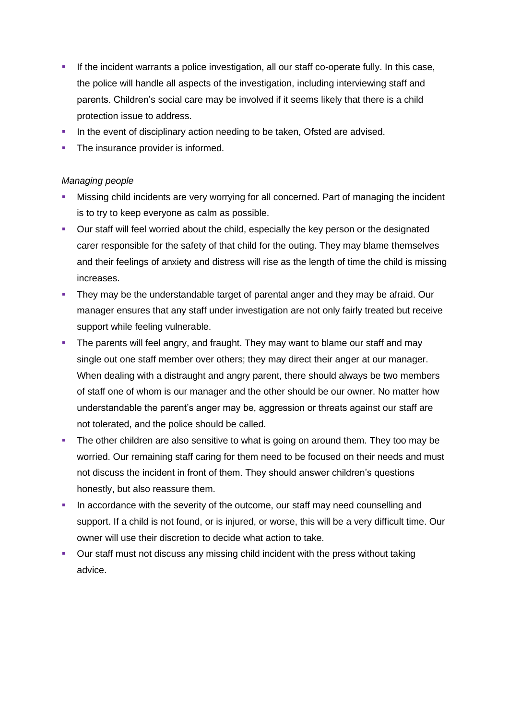- **.** If the incident warrants a police investigation, all our staff co-operate fully. In this case, the police will handle all aspects of the investigation, including interviewing staff and parents. Children's social care may be involved if it seems likely that there is a child protection issue to address.
- In the event of disciplinary action needing to be taken, Ofsted are advised.
- The insurance provider is informed.

### *Managing people*

- Missing child incidents are very worrying for all concerned. Part of managing the incident is to try to keep everyone as calm as possible.
- Our staff will feel worried about the child, especially the key person or the designated carer responsible for the safety of that child for the outing. They may blame themselves and their feelings of anxiety and distress will rise as the length of time the child is missing increases.
- **They may be the understandable target of parental anger and they may be afraid. Our** manager ensures that any staff under investigation are not only fairly treated but receive support while feeling vulnerable.
- **•** The parents will feel angry, and fraught. They may want to blame our staff and may single out one staff member over others; they may direct their anger at our manager. When dealing with a distraught and angry parent, there should always be two members of staff one of whom is our manager and the other should be our owner. No matter how understandable the parent's anger may be, aggression or threats against our staff are not tolerated, and the police should be called.
- **•** The other children are also sensitive to what is going on around them. They too may be worried. Our remaining staff caring for them need to be focused on their needs and must not discuss the incident in front of them. They should answer children's questions honestly, but also reassure them.
- **In accordance with the severity of the outcome, our staff may need counselling and** support. If a child is not found, or is injured, or worse, this will be a very difficult time. Our owner will use their discretion to decide what action to take.
- **Our staff must not discuss any missing child incident with the press without taking** advice.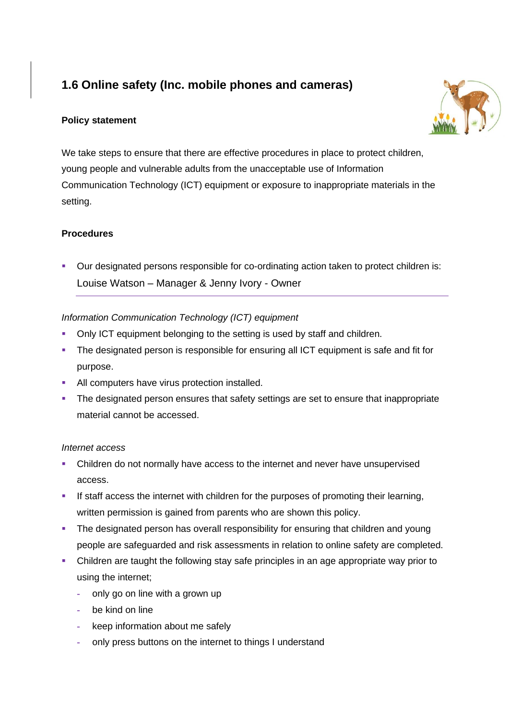# **1.6 Online safety (Inc. mobile phones and cameras)**

# **Policy statement**



We take steps to ensure that there are effective procedures in place to protect children, young people and vulnerable adults from the unacceptable use of Information Communication Technology (ICT) equipment or exposure to inappropriate materials in the setting.

# **Procedures**

■ Our designated persons responsible for co-ordinating action taken to protect children is: Louise Watson – Manager & Jenny Ivory - Owner

# *Information Communication Technology (ICT) equipment*

- **Only ICT equipment belonging to the setting is used by staff and children.**
- **•** The designated person is responsible for ensuring all ICT equipment is safe and fit for purpose.
- **EXECUTE:** All computers have virus protection installed.
- The designated person ensures that safety settings are set to ensure that inappropriate material cannot be accessed.

### *Internet access*

- Children do not normally have access to the internet and never have unsupervised access.
- **•** If staff access the internet with children for the purposes of promoting their learning, written permission is gained from parents who are shown this policy.
- **The designated person has overall responsibility for ensuring that children and young** people are safeguarded and risk assessments in relation to online safety are completed.
- Children are taught the following stay safe principles in an age appropriate way prior to using the internet;
	- **-** only go on line with a grown up
	- **-** be kind on line
	- **-** keep information about me safely
	- **-** only press buttons on the internet to things I understand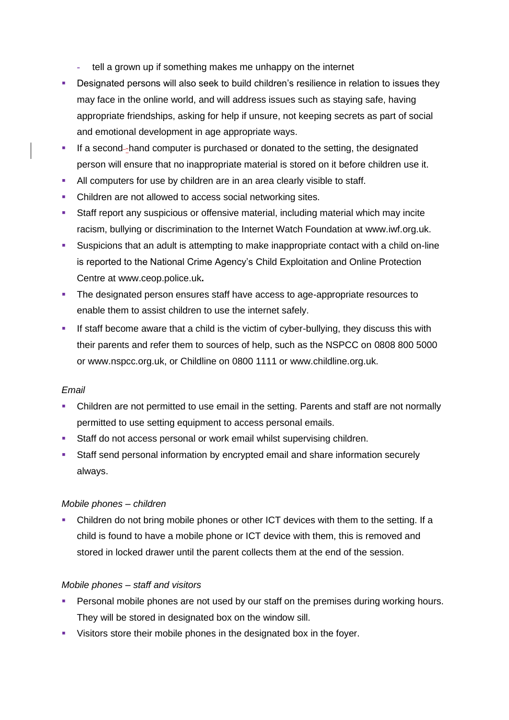- **-** tell a grown up if something makes me unhappy on the internet
- **•** Designated persons will also seek to build children's resilience in relation to issues they may face in the online world, and will address issues such as staying safe, having appropriate friendships, asking for help if unsure, not keeping secrets as part of social and emotional development in age appropriate ways.
- **EXECT** If a second-hand computer is purchased or donated to the setting, the designated person will ensure that no inappropriate material is stored on it before children use it.
- All computers for use by children are in an area clearly visible to staff.
- Children are not allowed to access social networking sites.
- **•** Staff report any suspicious or offensive material, including material which may incite racism, bullying or discrimination to the Internet Watch Foundation at [www.iwf.org.uk.](http://www.iwf.org.uk/)
- **EXECT** Suspicions that an adult is attempting to make inappropriate contact with a child on-line is reported to the National Crime Agency's Child Exploitation and Online Protection Centre at [www.ceop.police.uk](http://www.ceop.police.uk/)**.**
- **The designated person ensures staff have access to age-appropriate resources to** enable them to assist children to use the internet safely.
- **.** If staff become aware that a child is the victim of cyber-bullying, they discuss this with their parents and refer them to sources of help, such as the NSPCC on 0808 800 5000 or www.nspcc.org.uk, or Childline on 0800 1111 or www.childline.org.uk.

### *Email*

- Children are not permitted to use email in the setting. Parents and staff are not normally permitted to use setting equipment to access personal emails.
- Staff do not access personal or work email whilst supervising children.
- **EXECT** Staff send personal information by encrypted email and share information securely always.

### *Mobile phones – children*

▪ Children do not bring mobile phones or other ICT devices with them to the setting. If a child is found to have a mobile phone or ICT device with them, this is removed and stored in locked drawer until the parent collects them at the end of the session.

### *Mobile phones – staff and visitors*

- **Personal mobile phones are not used by our staff on the premises during working hours.** They will be stored in designated box on the window sill.
- Visitors store their mobile phones in the designated box in the foyer.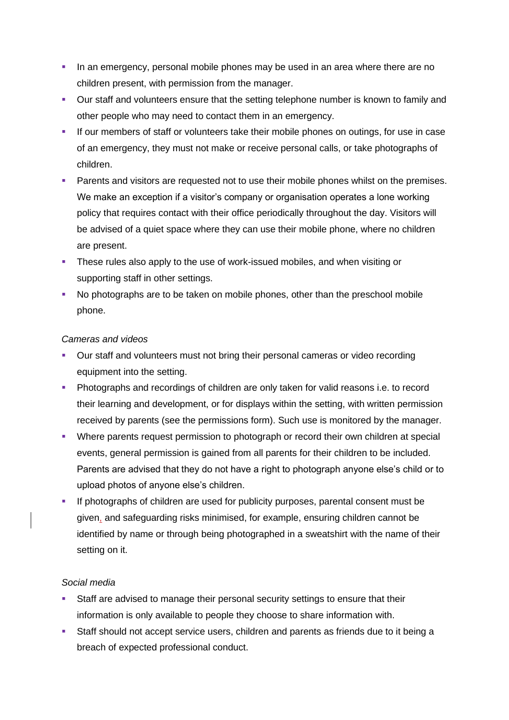- **•** In an emergency, personal mobile phones may be used in an area where there are no children present, with permission from the manager.
- Our staff and volunteers ensure that the setting telephone number is known to family and other people who may need to contact them in an emergency.
- **.** If our members of staff or volunteers take their mobile phones on outings, for use in case of an emergency, they must not make or receive personal calls, or take photographs of children.
- **•** Parents and visitors are requested not to use their mobile phones whilst on the premises. We make an exception if a visitor's company or organisation operates a lone working policy that requires contact with their office periodically throughout the day. Visitors will be advised of a quiet space where they can use their mobile phone, where no children are present.
- **•** These rules also apply to the use of work-issued mobiles, and when visiting or supporting staff in other settings.
- No photographs are to be taken on mobile phones, other than the preschool mobile phone.

### *Cameras and videos*

- Our staff and volunteers must not bring their personal cameras or video recording equipment into the setting.
- **Photographs and recordings of children are only taken for valid reasons i.e. to record** their learning and development, or for displays within the setting, with written permission received by parents (see the permissions form). Such use is monitored by the manager.
- Where parents request permission to photograph or record their own children at special events, general permission is gained from all parents for their children to be included. Parents are advised that they do not have a right to photograph anyone else's child or to upload photos of anyone else's children.
- **EXT** If photographs of children are used for publicity purposes, parental consent must be given, and safeguarding risks minimised, for example, ensuring children cannot be identified by name or through being photographed in a sweatshirt with the name of their setting on it.

### *Social media*

- Staff are advised to manage their personal security settings to ensure that their information is only available to people they choose to share information with.
- **EXECT:** Staff should not accept service users, children and parents as friends due to it being a breach of expected professional conduct.